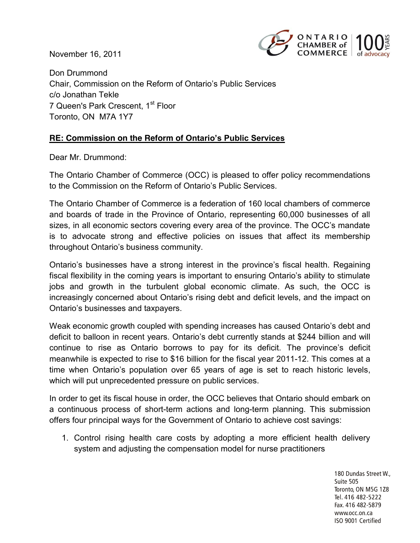November 16, 2011



Don Drummond Chair, Commission on the Reform of Ontario's Public Services c/o Jonathan Tekle 7 Queen's Park Crescent, 1st Floor Toronto, ON M7A 1Y7

## **RE: Commission on the Reform of Ontario's Public Services**

Dear Mr. Drummond:

The Ontario Chamber of Commerce (OCC) is pleased to offer policy recommendations to the Commission on the Reform of Ontario's Public Services.

The Ontario Chamber of Commerce is a federation of 160 local chambers of commerce and boards of trade in the Province of Ontario, representing 60,000 businesses of all sizes, in all economic sectors covering every area of the province. The OCC's mandate is to advocate strong and effective policies on issues that affect its membership throughout Ontario's business community.

Ontario's businesses have a strong interest in the province's fiscal health. Regaining fiscal flexibility in the coming years is important to ensuring Ontario's ability to stimulate jobs and growth in the turbulent global economic climate. As such, the OCC is increasingly concerned about Ontario's rising debt and deficit levels, and the impact on Ontario's businesses and taxpayers.

Weak economic growth coupled with spending increases has caused Ontario's debt and deficit to balloon in recent years. Ontario's debt currently stands at \$244 billion and will continue to rise as Ontario borrows to pay for its deficit. The province's deficit meanwhile is expected to rise to \$16 billion for the fiscal year 2011-12. This comes at a time when Ontario's population over 65 years of age is set to reach historic levels, which will put unprecedented pressure on public services.

In order to get its fiscal house in order, the OCC believes that Ontario should embark on a continuous process of short-term actions and long-term planning. This submission offers four principal ways for the Government of Ontario to achieve cost savings:

1. Control rising health care costs by adopting a more efficient health delivery system and adjusting the compensation model for nurse practitioners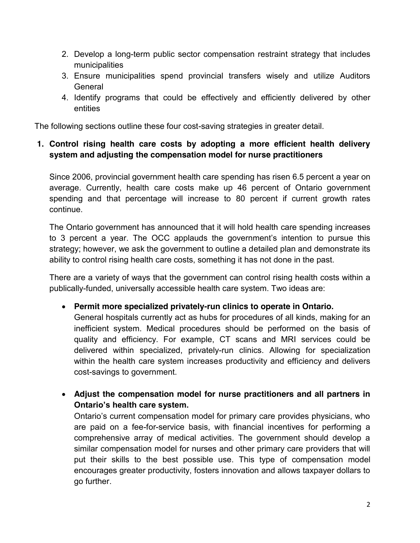- 2. Develop a long-term public sector compensation restraint strategy that includes municipalities
- 3. Ensure municipalities spend provincial transfers wisely and utilize Auditors General
- 4. Identify programs that could be effectively and efficiently delivered by other entities

The following sections outline these four cost-saving strategies in greater detail.

## **1. Control rising health care costs by adopting a more efficient health delivery system and adjusting the compensation model for nurse practitioners**

Since 2006, provincial government health care spending has risen 6.5 percent a year on average. Currently, health care costs make up 46 percent of Ontario government spending and that percentage will increase to 80 percent if current growth rates continue.

The Ontario government has announced that it will hold health care spending increases to 3 percent a year. The OCC applauds the government's intention to pursue this strategy; however, we ask the government to outline a detailed plan and demonstrate its ability to control rising health care costs, something it has not done in the past.

There are a variety of ways that the government can control rising health costs within a publically-funded, universally accessible health care system. Two ideas are:

**Permit more specialized privately-run clinics to operate in Ontario.**

General hospitals currently act as hubs for procedures of all kinds, making for an inefficient system. Medical procedures should be performed on the basis of quality and efficiency. For example, CT scans and MRI services could be delivered within specialized, privately-run clinics. Allowing for specialization within the health care system increases productivity and efficiency and delivers cost-savings to government.

 **Adjust the compensation model for nurse practitioners and all partners in Ontario's health care system.** 

Ontario's current compensation model for primary care provides physicians, who are paid on a fee-for-service basis, with financial incentives for performing a comprehensive array of medical activities. The government should develop a similar compensation model for nurses and other primary care providers that will put their skills to the best possible use. This type of compensation model encourages greater productivity, fosters innovation and allows taxpayer dollars to go further.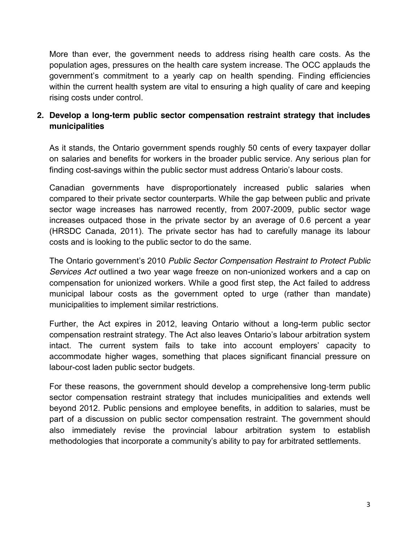More than ever, the government needs to address rising health care costs. As the population ages, pressures on the health care system increase. The OCC applauds the government's commitment to a yearly cap on health spending. Finding efficiencies within the current health system are vital to ensuring a high quality of care and keeping rising costs under control.

## **2. Develop a long-term public sector compensation restraint strategy that includes municipalities**

As it stands, the Ontario government spends roughly 50 cents of every taxpayer dollar on salaries and benefits for workers in the broader public service. Any serious plan for finding cost-savings within the public sector must address Ontario's labour costs.

Canadian governments have disproportionately increased public salaries when compared to their private sector counterparts. While the gap between public and private sector wage increases has narrowed recently, from 2007-2009, public sector wage increases outpaced those in the private sector by an average of 0.6 percent a year (HRSDC Canada, 2011). The private sector has had to carefully manage its labour costs and is looking to the public sector to do the same.

The Ontario government's 2010 *Public Sector Compensation Restraint to Protect Public Services Act* outlined a two year wage freeze on non-unionized workers and a cap on compensation for unionized workers. While a good first step, the Act failed to address municipal labour costs as the government opted to urge (rather than mandate) municipalities to implement similar restrictions.

Further, the Act expires in 2012, leaving Ontario without a long-term public sector compensation restraint strategy. The Act also leaves Ontario's labour arbitration system intact. The current system fails to take into account employers' capacity to accommodate higher wages, something that places significant financial pressure on labour-cost laden public sector budgets.

For these reasons, the government should develop a comprehensive long-term public sector compensation restraint strategy that includes municipalities and extends well beyond 2012. Public pensions and employee benefits, in addition to salaries, must be part of a discussion on public sector compensation restraint. The government should also immediately revise the provincial labour arbitration system to establish methodologies that incorporate a community's ability to pay for arbitrated settlements.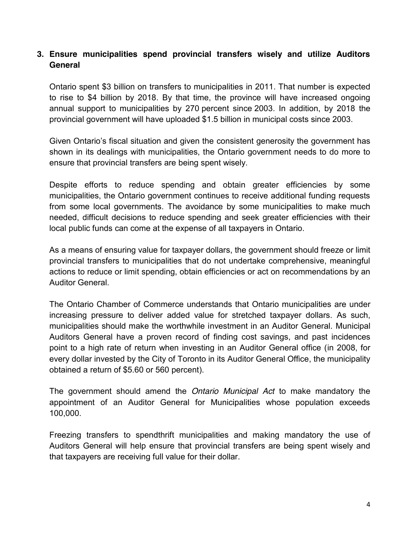#### **3. Ensure municipalities spend provincial transfers wisely and utilize Auditors General**

Ontario spent \$3 billion on transfers to municipalities in 2011. That number is expected to rise to \$4 billion by 2018. By that time, the province will have increased ongoing annual support to municipalities by 270 percent since 2003. In addition, by 2018 the provincial government will have uploaded \$1.5 billion in municipal costs since 2003.

Given Ontario's fiscal situation and given the consistent generosity the government has shown in its dealings with municipalities, the Ontario government needs to do more to ensure that provincial transfers are being spent wisely.

Despite efforts to reduce spending and obtain greater efficiencies by some municipalities, the Ontario government continues to receive additional funding requests from some local governments. The avoidance by some municipalities to make much needed, difficult decisions to reduce spending and seek greater efficiencies with their local public funds can come at the expense of all taxpayers in Ontario.

As a means of ensuring value for taxpayer dollars, the government should freeze or limit provincial transfers to municipalities that do not undertake comprehensive, meaningful actions to reduce or limit spending, obtain efficiencies or act on recommendations by an Auditor General.

The Ontario Chamber of Commerce understands that Ontario municipalities are under increasing pressure to deliver added value for stretched taxpayer dollars. As such, municipalities should make the worthwhile investment in an Auditor General. Municipal Auditors General have a proven record of finding cost savings, and past incidences point to a high rate of return when investing in an Auditor General office (in 2008, for every dollar invested by the City of Toronto in its Auditor General Office, the municipality obtained a return of \$5.60 or 560 percent).

The government should amend the *Ontario Municipal Act* to make mandatory the appointment of an Auditor General for Municipalities whose population exceeds 100,000.

Freezing transfers to spendthrift municipalities and making mandatory the use of Auditors General will help ensure that provincial transfers are being spent wisely and that taxpayers are receiving full value for their dollar.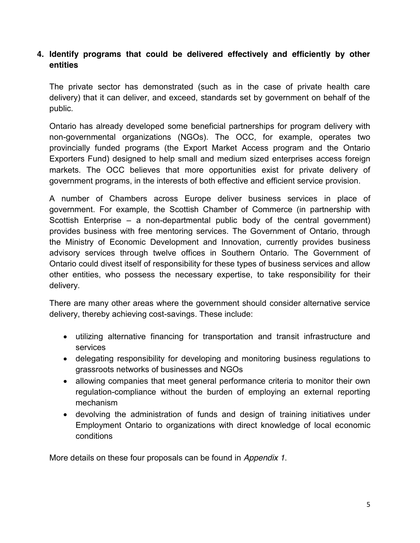#### **4. Identify programs that could be delivered effectively and efficiently by other entities**

The private sector has demonstrated (such as in the case of private health care delivery) that it can deliver, and exceed, standards set by government on behalf of the public.

Ontario has already developed some beneficial partnerships for program delivery with non-governmental organizations (NGOs). The OCC, for example, operates two provincially funded programs (the Export Market Access program and the Ontario Exporters Fund) designed to help small and medium sized enterprises access foreign markets. The OCC believes that more opportunities exist for private delivery of government programs, in the interests of both effective and efficient service provision.

A number of Chambers across Europe deliver business services in place of government. For example, the Scottish Chamber of Commerce (in partnership with Scottish Enterprise – a non-departmental public body of the central government) provides business with free mentoring services. The Government of Ontario, through the Ministry of Economic Development and Innovation, currently provides business advisory services through twelve offices in Southern Ontario. The Government of Ontario could divest itself of responsibility for these types of business services and allow other entities, who possess the necessary expertise, to take responsibility for their delivery.

There are many other areas where the government should consider alternative service delivery, thereby achieving cost-savings. These include:

- utilizing alternative financing for transportation and transit infrastructure and services
- delegating responsibility for developing and monitoring business regulations to grassroots networks of businesses and NGOs
- allowing companies that meet general performance criteria to monitor their own regulation-compliance without the burden of employing an external reporting mechanism
- devolving the administration of funds and design of training initiatives under Employment Ontario to organizations with direct knowledge of local economic conditions

More details on these four proposals can be found in *Appendix 1*.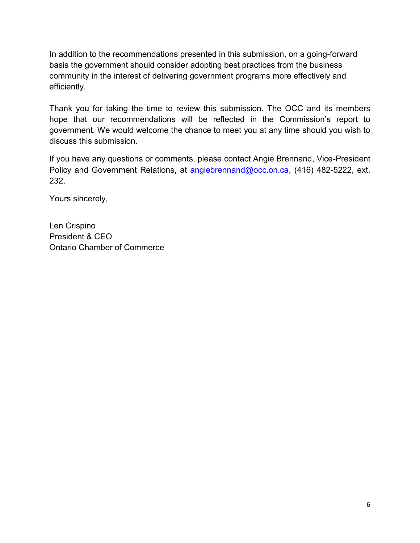In addition to the recommendations presented in this submission, on a going-forward basis the government should consider adopting best practices from the business community in the interest of delivering government programs more effectively and efficiently.

Thank you for taking the time to review this submission. The OCC and its members hope that our recommendations will be reflected in the Commission's report to government. We would welcome the chance to meet you at any time should you wish to discuss this submission.

If you have any questions or comments, please contact Angie Brennand, Vice-President Policy and Government Relations, at [angiebrennand@occ.on.ca,](mailto:angiebrennand@occ.on.ca) (416) 482-5222, ext. 232.

Yours sincerely,

Len Crispino President & CEO Ontario Chamber of Commerce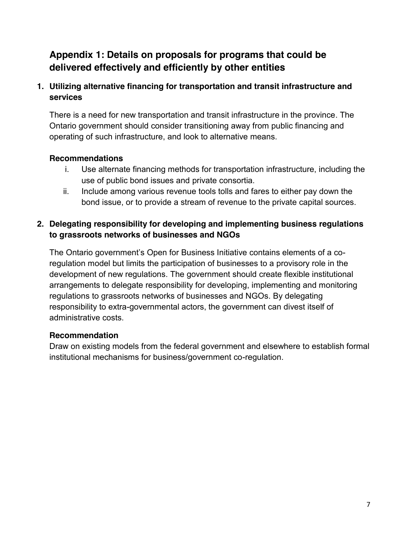# **Appendix 1: Details on proposals for programs that could be delivered effectively and efficiently by other entities**

# **1. Utilizing alternative financing for transportation and transit infrastructure and services**

There is a need for new transportation and transit infrastructure in the province. The Ontario government should consider transitioning away from public financing and operating of such infrastructure, and look to alternative means.

## **Recommendations**

- i. Use alternate financing methods for transportation infrastructure, including the use of public bond issues and private consortia.
- ii. Include among various revenue tools tolls and fares to either pay down the bond issue, or to provide a stream of revenue to the private capital sources.

## **2. Delegating responsibility for developing and implementing business regulations to grassroots networks of businesses and NGOs**

The Ontario government's Open for Business Initiative contains elements of a coregulation model but limits the participation of businesses to a provisory role in the development of new regulations. The government should create flexible institutional arrangements to delegate responsibility for developing, implementing and monitoring regulations to grassroots networks of businesses and NGOs. By delegating responsibility to extra-governmental actors, the government can divest itself of administrative costs.

# **Recommendation**

Draw on existing models from the federal government and elsewhere to establish formal institutional mechanisms for business/government co-regulation.